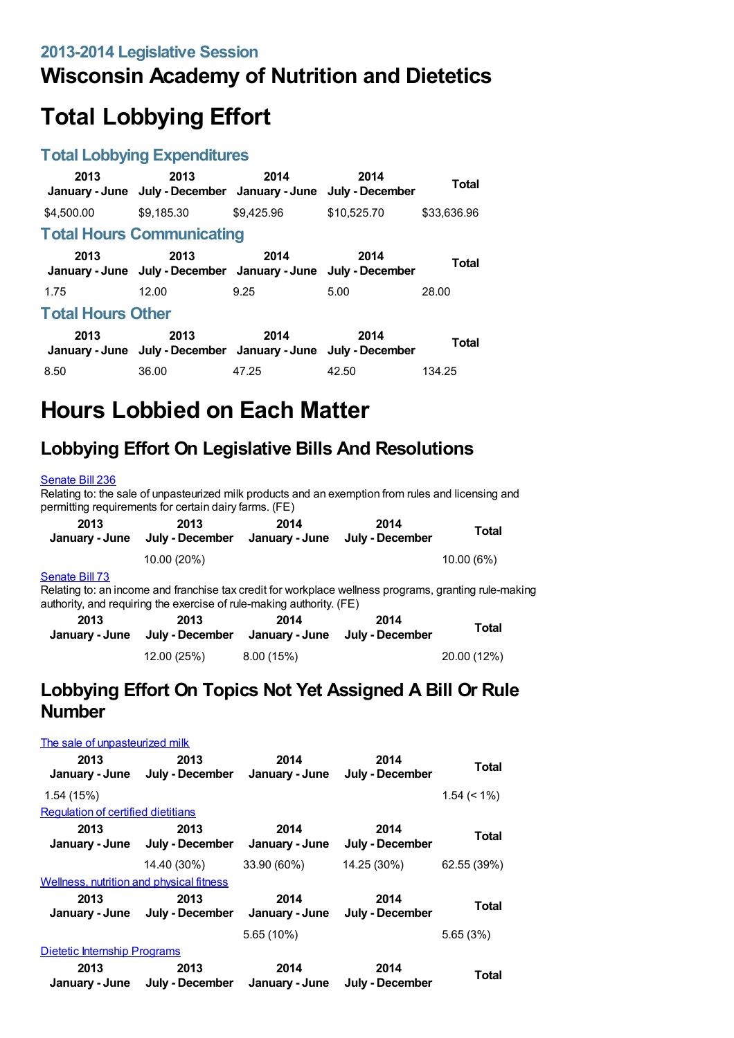# **Wisconsin Academy of Nutrition and Dietetics**

# **Total Lobbying Effort**

#### **Total Lobbying Expenditures**

| 2013<br>January - June           | 2013<br>July - December January - June July - December                | 2014       | 2014        | Total        |  |
|----------------------------------|-----------------------------------------------------------------------|------------|-------------|--------------|--|
| \$4,500.00                       | \$9,185.30                                                            | \$9.425.96 | \$10,525.70 | \$33,636.96  |  |
| <b>Total Hours Communicating</b> |                                                                       |            |             |              |  |
| 2013                             | 2013<br>January - June July - December January - June July - December | 2014       | 2014        | <b>Total</b> |  |
| 1.75                             | 12.00                                                                 | 9.25       | 5.00        | 28.00        |  |
| <b>Total Hours Other</b>         |                                                                       |            |             |              |  |
| 2013                             | 2013<br>January - June July - December January - June July - December | 2014       | 2014        | Total        |  |
| 8.50                             | 36.00                                                                 | 47.25      | 42.50       | 134.25       |  |

# **Hours Lobbied on Each Matter**

## **Lobbying Effort On Legislative Bills And Resolutions**

#### [Senate](https://lobbying.wi.gov/What/BillInformation/2013REG/Information/10234?tab=Efforts) Bill 236

Relating to: the sale of unpasteurized milk products and an exemption from rules and licensing and permitting requirements for certain dairy farms. (FE)

| 2013<br>January - June | 2013<br>July - December                                                                               | 2014<br>January - June | 2014<br>July - December | Total     |
|------------------------|-------------------------------------------------------------------------------------------------------|------------------------|-------------------------|-----------|
|                        | 10.00 (20%)                                                                                           |                        |                         | 10.00(6%) |
| Senate Bill 73         | Relating to: an income and franchise tax credit for workplace wellness programs, granting rule-making |                        |                         |           |

authority, and requiring the exercise of rule-making authority. (FE) **2013 January - June July - December January - June July - December 2013 2014 2014 Total** 12.00 (25%) 8.00 (15%) 20.00 (12%)

### **Lobbying Effort On Topics Not Yet Assigned A Bill Or Rule Number**

| The sale of unpasteurized milk                  |                                        |                        |                         |                |
|-------------------------------------------------|----------------------------------------|------------------------|-------------------------|----------------|
| 2013                                            | 2013<br>January - June July - December | 2014<br>January - June | 2014<br>July - December | Total          |
| 1.54 (15%)                                      |                                        |                        |                         | $1.54 \le 1\%$ |
| Regulation of certified dietitians              |                                        |                        |                         |                |
| 2013<br>January - June                          | 2013<br>July - December                | 2014<br>January - June | 2014<br>July - December | Total          |
|                                                 | 14.40 (30%)                            | 33.90 (60%)            | 14.25 (30%)             | 62.55 (39%)    |
| <b>Wellness, nutrition and physical fitness</b> |                                        |                        |                         |                |
| 2013                                            | 2013<br>January - June July - December | 2014<br>January - June | 2014<br>July - December | Total          |
|                                                 |                                        | $5.65(10\%)$           |                         | 5.65 (3%)      |
| <b>Dietetic Internship Programs</b>             |                                        |                        |                         |                |
| 2013                                            | 2013<br>January - June July - December | 2014<br>January - June | 2014<br>July - December | Total          |